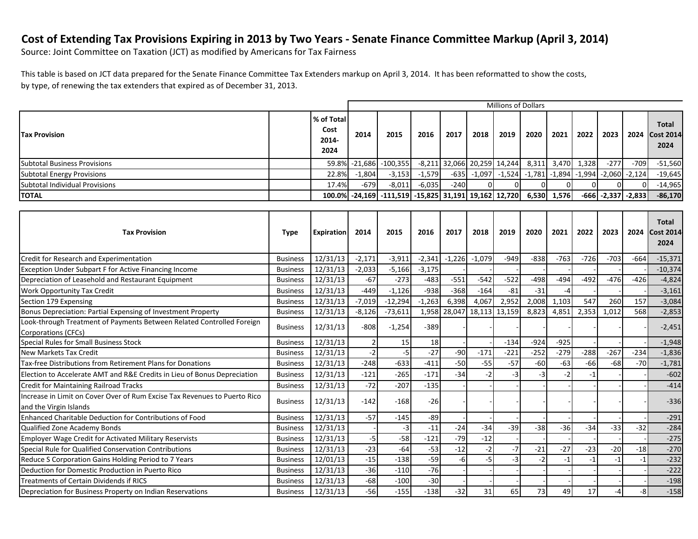## **Cost of Extending Tax Provisions Expiring in 2013 by Two Years - Senate Finance Committee Markup (April 3, 2014)**

Source: Joint Committee on Taxation (JCT) as modified by Americans for Tax Fairness

This table is based on JCT data prepared for the Senate Finance Committee Tax Extenders markup on April 3, 2014. It has been reformatted to show the costs, by type, of renewing the tax extenders that expired as of December 31, 2013.

|                                                                                                     | <b>Millions of Dollars</b> |                                     |          |                                                     |          |                     |          |                                                     |        |        |                   |          |                   |                                          |
|-----------------------------------------------------------------------------------------------------|----------------------------|-------------------------------------|----------|-----------------------------------------------------|----------|---------------------|----------|-----------------------------------------------------|--------|--------|-------------------|----------|-------------------|------------------------------------------|
| <b>Tax Provision</b>                                                                                |                            | % of Total<br>Cost<br>2014-<br>2024 | 2014     | 2015                                                | 2016     | 2017                | 2018     | 2019                                                | 2020   | 2021   | 2022              | 2023     | 2024              | <b>Total</b><br><b>Cost 2014</b><br>2024 |
| <b>Subtotal Business Provisions</b>                                                                 |                            | 59.8%                               |          | $-21,686$ $-100,355$                                |          |                     |          | $-8,211$ 32,066 20,259 14,244                       |        |        | 8,311 3,470 1,328 | $-277$   | $-709$            | $-51,560$                                |
| <b>Subtotal Energy Provisions</b>                                                                   |                            | 22.8%                               | $-1,804$ | $-3,153$                                            | $-1,579$ |                     |          | $-635$ $-1,097$ $-1,524$ $-1,781$ $-1,894$ $-1,994$ |        |        |                   | $-2,060$ | $-2,124$          | $-19,645$                                |
| Subtotal Individual Provisions                                                                      |                            | 17.4%                               | $-679$   | $-8,011$                                            | $-6,035$ | $-240$              |          |                                                     |        |        | $\Omega$          | $\Omega$ |                   | $-14,965$                                |
| <b>TOTAL</b>                                                                                        |                            | 100.0%                              |          | $-24,169$ $-111,519$ $-15,825$ 31,191 19,162 12,720 |          |                     |          |                                                     | 6,530  | 1,576  | $-666$            |          | $-2,337$ $-2,833$ | $-86,170$                                |
|                                                                                                     |                            |                                     |          |                                                     |          |                     |          |                                                     |        |        |                   |          |                   |                                          |
| <b>Tax Provision</b>                                                                                | <b>Type</b>                | <b>Expiration</b>                   | 2014     | 2015                                                | 2016     | 2017                | 2018     | 2019                                                | 2020   | 2021   | 2022              | 2023     | 2024              | <b>Total</b><br><b>Cost 2014</b><br>2024 |
| Credit for Research and Experimentation                                                             | <b>Business</b>            | 12/31/13                            | $-2,171$ | $-3,911$                                            | $-2,341$ | $-1,226$            | $-1,079$ | $-949$                                              | $-838$ | $-763$ | $-726$            | $-703$   | $-664$            | $-15,371$                                |
| <b>Exception Under Subpart F for Active Financing Income</b>                                        | <b>Business</b>            | 12/31/13                            | $-2,033$ | $-5,166$                                            | $-3,175$ |                     |          |                                                     |        |        |                   |          |                   | $-10,374$                                |
| Depreciation of Leasehold and Restaurant Equipment                                                  | <b>Business</b>            | 12/31/13                            | $-67$    | $-273$                                              | $-483$   | $-551$              | $-542$   | $-522$                                              | $-498$ | $-494$ | $-492$            | $-476$   | $-426$            | $-4,824$                                 |
| Work Opportunity Tax Credit                                                                         | <b>Business</b>            | 12/31/13                            | $-449$   | $-1,126$                                            | $-938$   | $-368$              | $-164$   | $-81$                                               | $-31$  |        |                   |          |                   | $-3,161$                                 |
| Section 179 Expensing                                                                               | <b>Business</b>            | 12/31/13                            | $-7,019$ | $-12,294$                                           | $-1,263$ | 6,398               | 4,067    | 2,952                                               | 2,008  | 1,103  | 547               | 260      | 157               | $-3,084$                                 |
| Bonus Depreciation: Partial Expensing of Investment Property                                        | <b>Business</b>            | 12/31/13                            | $-8,126$ | $-73,611$                                           |          | 1,958 28,047 18,113 |          | 13,159                                              | 8,823  | 4,851  | 2,353             | 1,012    | 568               | $-2,853$                                 |
| Look-through Treatment of Payments Between Related Controlled Foreign<br><b>Corporations (CFCs)</b> | <b>Business</b>            | 12/31/13                            | $-808$   | $-1,254$                                            | $-389$   |                     |          |                                                     |        |        |                   |          |                   | $-2,451$                                 |
| Special Rules for Small Business Stock                                                              | <b>Business</b>            | 12/31/13                            |          | 15                                                  | 18       |                     |          | $-134$                                              | $-924$ | $-925$ |                   |          |                   | $-1,948$                                 |
| New Markets Tax Credit                                                                              | <b>Business</b>            | 12/31/13                            | $-2$     | $-5$                                                | $-27$    | $-90$               | $-171$   | $-221$                                              | $-252$ | $-279$ | $-288$            | $-267$   | $-234$            | $-1,836$                                 |
| Tax-free Distributions from Retirement Plans for Donations                                          | <b>Business</b>            | 12/31/13                            | $-248$   | $-633$                                              | $-411$   | $-50$               | $-55$    | $-57$                                               | $-60$  | $-63$  | $-66$             | $-68$    | $-70$             | $-1,781$                                 |
| Election to Accelerate AMT and R&E Credits in Lieu of Bonus Depreciation                            | <b>Business</b>            | 12/31/13                            | $-121$   | $-265$                                              | $-171$   | $-34$               | $-2$     | $-3$                                                | $-3$   | $-2$   | $-1$              |          |                   | $-602$                                   |
| <b>Credit for Maintaining Railroad Tracks</b>                                                       | <b>Business</b>            | 12/31/13                            | $-72$    | $-207$                                              | $-135$   |                     |          |                                                     |        |        |                   |          |                   | $-414$                                   |
| Increase in Limit on Cover Over of Rum Excise Tax Revenues to Puerto Rico<br>and the Virgin Islands | <b>Business</b>            | 12/31/13                            | $-142$   | $-168$                                              | $-26$    |                     |          |                                                     |        |        |                   |          |                   | $-336$                                   |
| Enhanced Charitable Deduction for Contributions of Food                                             | <b>Business</b>            | 12/31/13                            | $-57$    | $-145$                                              | $-89$    |                     |          |                                                     |        |        |                   |          |                   | $-291$                                   |
| Qualified Zone Academy Bonds                                                                        | <b>Business</b>            | 12/31/13                            |          | $-3$                                                | $-11$    | $-24$               | $-34$    | $-39$                                               | $-38$  | $-36$  | $-34$             | $-33$    | $-32$             | $-284$                                   |
| Employer Wage Credit for Activated Military Reservists                                              | <b>Business</b>            | 12/31/13                            | $-5$     | $-58$                                               | $-121$   | $-79$               | $-12$    |                                                     |        |        |                   |          |                   | $-275$                                   |
| Special Rule for Qualified Conservation Contributions                                               | <b>Business</b>            | 12/31/13                            | $-23$    | $-64$                                               | $-53$    | $-12$               |          |                                                     | $-21$  | $-27$  | $-23$             | $-20$    | $-18$             | $-270$                                   |
| Reduce S Corporation Gains Holding Period to 7 Years                                                | <b>Business</b>            | 12/01/13                            | $-15$    | $-138$                                              | $-59$    | -6                  | $-5$     |                                                     |        | $-1$   | $-1$              | $-1$     | $-1$              | $-232$                                   |
| Deduction for Domestic Production in Puerto Rico                                                    | <b>Business</b>            | 12/31/13                            | $-36$    | $-110$                                              | $-76$    |                     |          |                                                     |        |        |                   |          |                   | $-222$                                   |
| <b>Treatments of Certain Dividends if RICS</b>                                                      | <b>Business</b>            | 12/31/13                            | $-68$    | $-100$                                              | $-30$    |                     |          |                                                     |        |        |                   |          |                   | $-198$                                   |
| Depreciation for Business Property on Indian Reservations                                           | <b>Business</b>            | 12/31/13                            | $-56$    | $-155$                                              | $-138$   | $-32$               | 31       | 65                                                  | 73     | 49     | 17                | $-4$     | $-8$              | $-158$                                   |